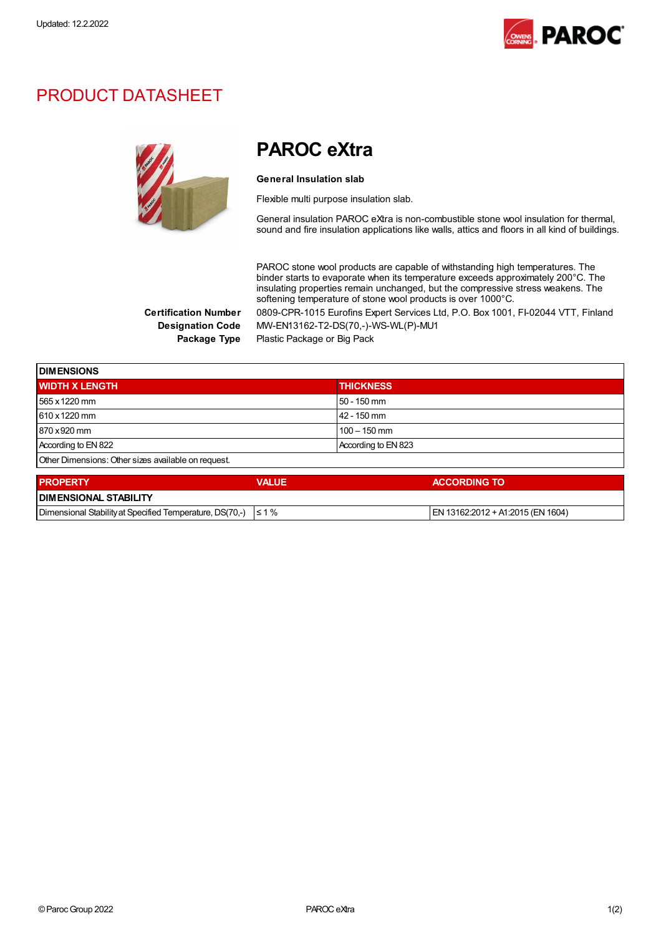

## PRODUCT DATASHEET



PAROC eXtra

## General Insulation slab

Flexible multi purpose insulation slab.

General insulation PAROC eXtra is non-combustible stone wool insulation for thermal, sound and fire insulation applications like walls, attics and floors in all kind of buildings.

PAROC stone wool products are capable of withstanding high temperatures. The binder starts to evaporate when its temperature exceeds approximately 200°C. The insulating properties remain unchanged, but the compressive stress weakens. The softening temperature of stone wool products is over 1000°C. Certification Number 0809-CPR-1015 Eurofins Expert Services Ltd, P.O. Box 1001, FI-02044 VTT, Finland

Designation Code MW-EN13162-T2-DS(70,-)-WS-WL(P)-MU1

Package Type Plastic Package or Big Pack

| <b>DIMENSIONS</b>                                   |              |                     |  |  |  |
|-----------------------------------------------------|--------------|---------------------|--|--|--|
| <b>WIDTH X LENGTH</b>                               |              | <b>THICKNESS</b>    |  |  |  |
| 565 x 1220 mm                                       |              | 50 - 150 mm         |  |  |  |
| 610 x 1220 mm                                       |              | 42 - 150 mm         |  |  |  |
| 870 x 920 mm                                        |              | $100 - 150$ mm      |  |  |  |
| According to EN 822                                 |              | According to EN 823 |  |  |  |
| Other Dimensions: Other sizes available on request. |              |                     |  |  |  |
| <b>PROPERTY</b>                                     | <b>VALUE</b> | <b>ACCORDING TO</b> |  |  |  |
| <b>DIMENSIONAL STABILITY</b>                        |              |                     |  |  |  |

| Dimensional Stability at Specified Temperature, DS(70,-) $\leq 1\%$ |  | IEN 13162:2012 + A1:2015 (EN 1604) |  |
|---------------------------------------------------------------------|--|------------------------------------|--|